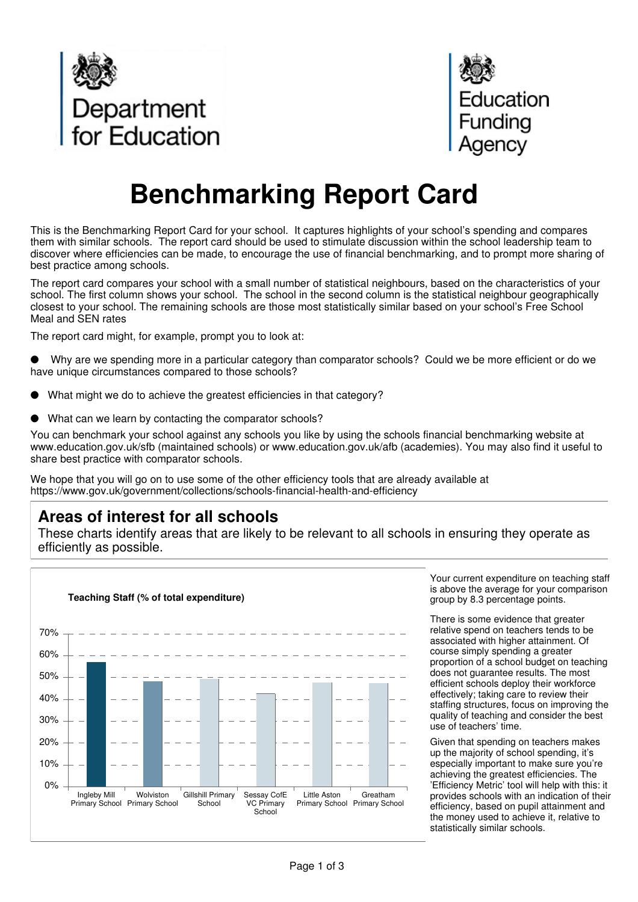



## **Benchmarking Report Card**

This is the Benchmarking Report Card for your school. It captures highlights of your school's spending and compares them with similar schools. The report card should be used to stimulate discussion within the school leadership team to discover where efficiencies can be made, to encourage the use of financial benchmarking, and to prompt more sharing of best practice among schools.

The report card compares your school with a small number of statistical neighbours, based on the characteristics of your school. The first column shows your school. The school in the second column is the statistical neighbour geographically closest to your school. The remaining schools are those most statistically similar based on your school's Free School Meal and SEN rates

The report card might, for example, prompt you to look at:

- Why are we spending more in a particular category than comparator schools? Could we be more efficient or do we have unique circumstances compared to those schools?
- What might we do to achieve the greatest efficiencies in that category?
- What can we learn by contacting the comparator schools?

You can benchmark your school against any schools you like by using the schools financial benchmarking website at www.education.gov.uk/sfb (maintained schools) or www.education.gov.uk/afb (academies). You may also find it useful to share best practice with comparator schools.

We hope that you will go on to use some of the other efficiency tools that are already available at https://www.gov.uk/government/collections/schools-financial-health-and-efficiency

## **Areas of interest for all schools**

These charts identify areas that are likely to be relevant to all schools in ensuring they operate as efficiently as possible.



Your current expenditure on teaching staff is above the average for your comparison group by 8.3 percentage points.

There is some evidence that greater relative spend on teachers tends to be associated with higher attainment. Of course simply spending a greater proportion of a school budget on teaching does not guarantee results. The most efficient schools deploy their workforce effectively; taking care to review their staffing structures, focus on improving the quality of teaching and consider the best use of teachers' time.

Given that spending on teachers makes up the majority of school spending, it's especially important to make sure you're achieving the greatest efficiencies. The 'Efficiency Metric' tool will help with this: it provides schools with an indication of their efficiency, based on pupil attainment and the money used to achieve it, relative to statistically similar schools.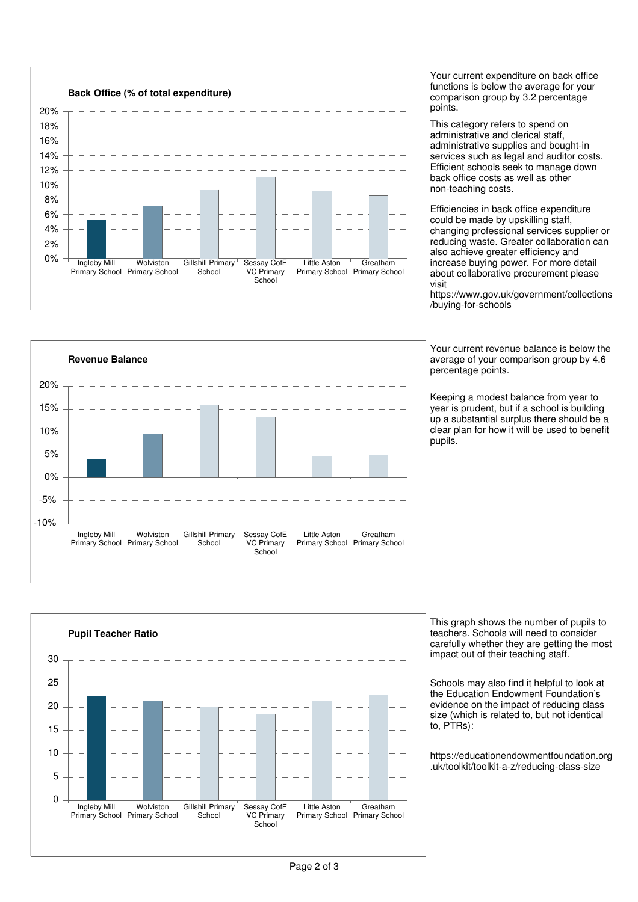

Your current expenditure on back office functions is below the average for your comparison group by 3.2 percentage points.

This category refers to spend on administrative and clerical staff, administrative supplies and bought-in services such as legal and auditor costs. Efficient schools seek to manage down back office costs as well as other non-teaching costs.

Efficiencies in back office expenditure could be made by upskilling staff, changing professional services supplier or reducing waste. Greater collaboration can also achieve greater efficiency and increase buying power. For more detail about collaborative procurement please visit

https://www.gov.uk/government/collections /buying-for-schools

Your current revenue balance is below the average of your comparison group by 4.6 percentage points.

Keeping a modest balance from year to year is prudent, but if a school is building up a substantial surplus there should be a clear plan for how it will be used to benefit pupils.





This graph shows the number of pupils to teachers. Schools will need to consider carefully whether they are getting the most impact out of their teaching staff.

Schools may also find it helpful to look at the Education Endowment Foundation's evidence on the impact of reducing class size (which is related to, but not identical to, PTRs):

https://educationendowmentfoundation.org .uk/toolkit/toolkit-a-z/reducing-class-size